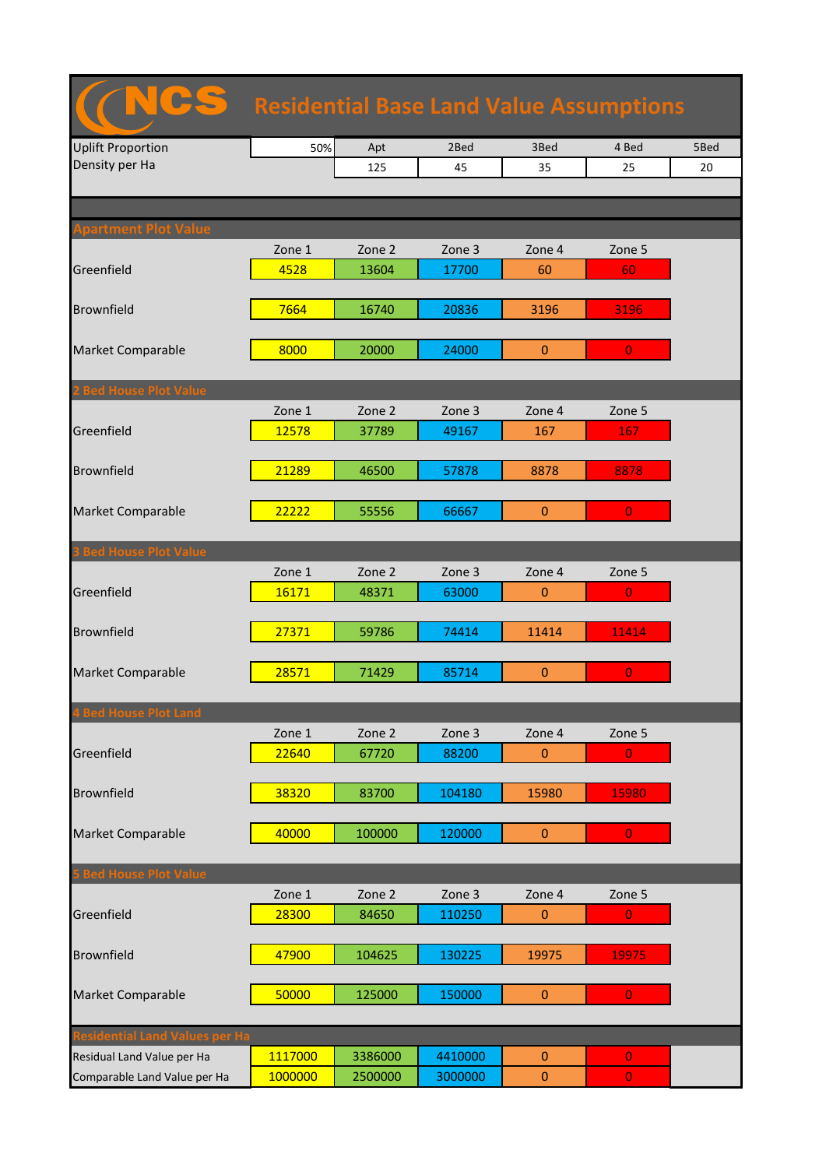| <b>Residential Base Land Value Assumptions</b> |                |                 |                 |                |                |      |  |  |
|------------------------------------------------|----------------|-----------------|-----------------|----------------|----------------|------|--|--|
| <b>Uplift Proportion</b>                       | 50%            | Apt             | 2Bed            | 3Bed           | 4 Bed          | 5Bed |  |  |
| Density per Ha                                 |                | 125             | 45              | 35             | 25             | 20   |  |  |
|                                                |                |                 |                 |                |                |      |  |  |
|                                                |                |                 |                 |                |                |      |  |  |
| partment Plot Value                            |                |                 |                 |                |                |      |  |  |
| Greenfield                                     | Zone 1<br>4528 | Zone 2<br>13604 | Zone 3<br>17700 | Zone 4<br>60   | Zone 5<br>60   |      |  |  |
|                                                |                |                 |                 |                |                |      |  |  |
| <b>Brownfield</b>                              | 7664           | 16740           | 20836           | 3196           | 3196           |      |  |  |
|                                                |                |                 |                 |                |                |      |  |  |
| <b>Market Comparable</b>                       | 8000           | 20000           | 24000           | $\overline{0}$ | $\overline{0}$ |      |  |  |
|                                                |                |                 |                 |                |                |      |  |  |
| <b>Bed House Plot Value</b>                    |                |                 |                 |                |                |      |  |  |
|                                                | Zone 1         | Zone 2          | Zone 3          | Zone 4         | Zone 5         |      |  |  |
| Greenfield                                     | 12578          | 37789           | 49167           | 167            | 167            |      |  |  |
| <b>Brownfield</b>                              | 21289          | 46500           | 57878           | 8878           | 8878           |      |  |  |
|                                                |                |                 |                 |                |                |      |  |  |
| <b>Market Comparable</b>                       | 22222          | 55556           | 66667           | $\mathbf{0}$   | $\overline{0}$ |      |  |  |
|                                                |                |                 |                 |                |                |      |  |  |
| <b>3 Bed House Plot Value</b>                  |                |                 |                 |                |                |      |  |  |
|                                                | Zone 1         | Zone 2          | Zone 3          | Zone 4         | Zone 5         |      |  |  |
| Greenfield                                     | 16171          | 48371           | 63000           | $\mathbf{0}$   | $\overline{0}$ |      |  |  |
|                                                |                |                 |                 |                |                |      |  |  |
| <b>Brownfield</b>                              | 27371          | 59786           | 74414           | 11414          | 11414          |      |  |  |
| <b>Market Comparable</b>                       | 28571          | 71429           | 85714           | $\pmb{0}$      | $\overline{0}$ |      |  |  |
|                                                |                |                 |                 |                |                |      |  |  |
| <b>4 Bed House Plot Land</b>                   |                |                 |                 |                |                |      |  |  |
|                                                | Zone 1         | Zone 2          | Zone 3          | Zone 4         | Zone 5         |      |  |  |
| Greenfield                                     | 22640          | 67720           | 88200           | $\mathbf{0}$   | $\overline{0}$ |      |  |  |
|                                                |                |                 |                 |                |                |      |  |  |
| <b>Brownfield</b>                              | 38320          | 83700           | 104180          | 15980          | 15980          |      |  |  |
|                                                |                |                 |                 |                |                |      |  |  |
| <b>Market Comparable</b>                       | 40000          | 100000          | 120000          | $\pmb{0}$      | $\overline{0}$ |      |  |  |
| <b>S Bed House Plot Value</b>                  |                |                 |                 |                |                |      |  |  |
|                                                | Zone 1         | Zone 2          | Zone 3          | Zone 4         | Zone 5         |      |  |  |
| Greenfield                                     | 28300          | 84650           | 110250          | $\mathbf{0}$   | $\mathbf{0}$   |      |  |  |
|                                                |                |                 |                 |                |                |      |  |  |
| <b>Brownfield</b>                              | 47900          | 104625          | 130225          | 19975          | 19975          |      |  |  |
|                                                |                |                 |                 |                |                |      |  |  |
| <b>Market Comparable</b>                       | 50000          | 125000          | 150000          | $\mathbf{0}$   | $\overline{0}$ |      |  |  |
|                                                |                |                 |                 |                |                |      |  |  |
| esidential Land Values per Ha                  |                |                 |                 |                |                |      |  |  |
| Residual Land Value per Ha                     | 1117000        | 3386000         | 4410000         | $\overline{0}$ | $\mathbf{0}$   |      |  |  |
| Comparable Land Value per Ha                   | 1000000        | 2500000         | 3000000         | $\pmb{0}$      | $\mathbf{0}$   |      |  |  |

ncs and the control of the control of the control of the control of the control of the control of the control o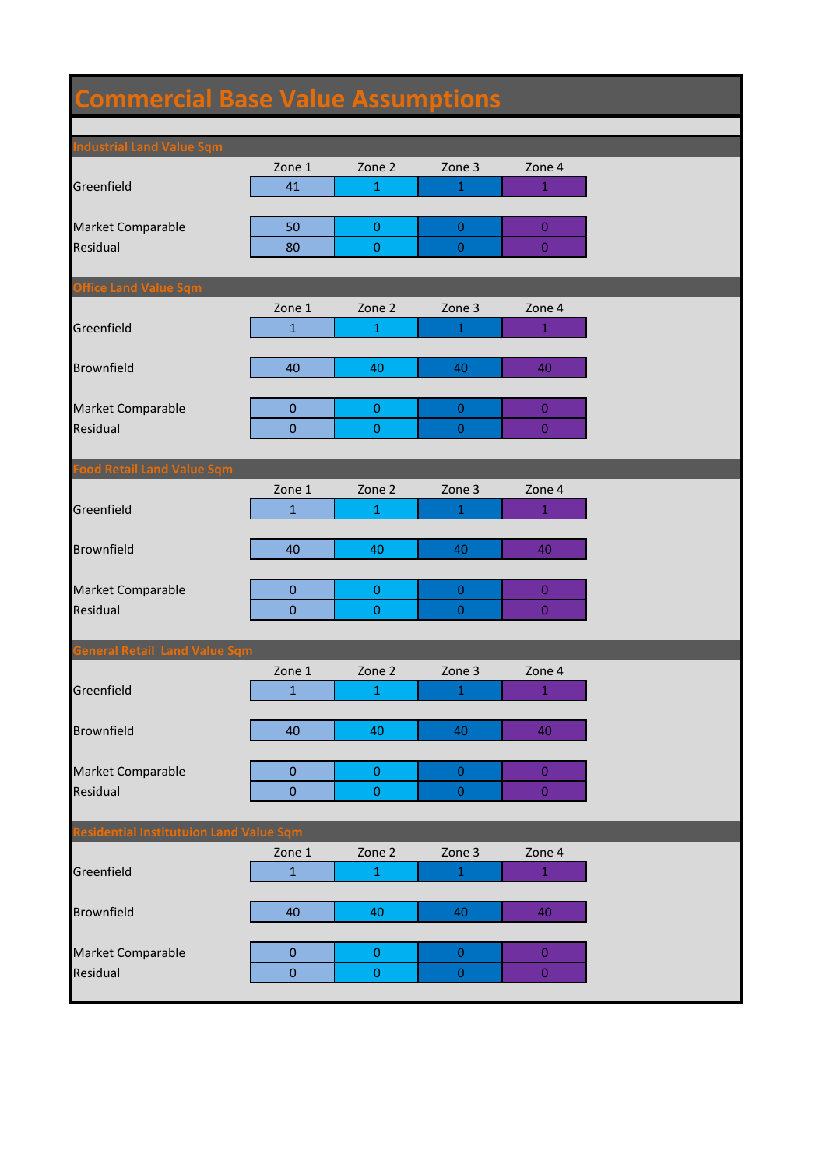## **Commercial Base Value Assumptions**

| <b>Industrial Land Value Sqm</b>       |                  |                  |                  |                  |
|----------------------------------------|------------------|------------------|------------------|------------------|
|                                        | Zone 1           | Zone 2           | Zone 3           | Zone 4           |
| Greenfield                             | 41               | $\mathbf 1$      | $\mathbf 1$      | $1\,$            |
|                                        |                  |                  |                  |                  |
| Market Comparable                      | 50               | $\boldsymbol{0}$ | $\mathbf{0}$     | $\bf{0}$         |
| Residual                               | 80               | $\pmb{0}$        | $\boldsymbol{0}$ | $\overline{0}$   |
|                                        |                  |                  |                  |                  |
| <b>Office Land Value Sqm</b>           |                  |                  |                  |                  |
|                                        | Zone 1           | Zone 2           | Zone 3           | Zone 4           |
| Greenfield                             | $\mathbf{1}$     | $\mathbf{1}$     | 1                | $\mathbf{1}$     |
|                                        |                  |                  |                  |                  |
| <b>Brownfield</b>                      | 40               | 40               | 40               | 40               |
|                                        |                  |                  |                  |                  |
| Market Comparable                      | $\pmb{0}$        | $\pmb{0}$        | $\mathbf 0$      | $\overline{0}$   |
| Residual                               | $\mathbf 0$      | $\pmb{0}$        | $\boldsymbol{0}$ | $\mathbf{0}$     |
|                                        |                  |                  |                  |                  |
| <b>Food Retail Land Value Sqm</b>      |                  |                  |                  |                  |
|                                        | Zone 1           | Zone 2           | Zone 3           | Zone 4           |
| Greenfield                             | $\mathbf{1}$     | $\mathbf{1}$     | 1                | $\mathbf{1}$     |
|                                        |                  |                  |                  |                  |
| <b>Brownfield</b>                      | 40               | 40               | 40               | 40               |
|                                        |                  |                  |                  |                  |
| Market Comparable                      | $\pmb{0}$        | $\pmb{0}$        | $\boldsymbol{0}$ | $\bf{0}$         |
| Residual                               | $\mathbf{0}$     | $\pmb{0}$        | $\boldsymbol{0}$ | $\mathbf{0}$     |
|                                        |                  |                  |                  |                  |
| <b>General Retail Land Value Sqm</b>   |                  |                  |                  |                  |
|                                        | Zone 1           | Zone 2           | Zone 3           | Zone 4           |
| Greenfield                             | $\mathbf{1}$     | $\mathbf{1}$     | 1                | $\mathbf{1}$     |
|                                        |                  |                  |                  |                  |
| <b>Brownfield</b>                      | 40               | 40               | 40               | 40               |
|                                        |                  |                  |                  |                  |
| Market Comparable                      | $\mathbf 0$      | $\pmb{0}$        | $\boldsymbol{0}$ | $\overline{0}$   |
| Residual                               | $\boldsymbol{0}$ | $\pmb{0}$        | $\boldsymbol{0}$ | $\boldsymbol{0}$ |
|                                        |                  |                  |                  |                  |
| esidential Institutuion Land Value Sqm |                  |                  |                  |                  |
|                                        | Zone 1           | Zone 2           | Zone 3           | Zone 4           |
| Greenfield                             | $\mathbf{1}$     | $\mathbf 1$      | $\,1\,$          | $1\,$            |
|                                        |                  |                  |                  |                  |
| <b>Brownfield</b>                      | 40               | 40               | 40               | 40               |
|                                        |                  |                  |                  |                  |
| Market Comparable                      | $\pmb{0}$        | $\pmb{0}$        | $\boldsymbol{0}$ | $\bf{0}$         |
| Residual                               | $\pmb{0}$        | $\pmb{0}$        | $\boldsymbol{0}$ | $\boldsymbol{0}$ |
|                                        |                  |                  |                  |                  |